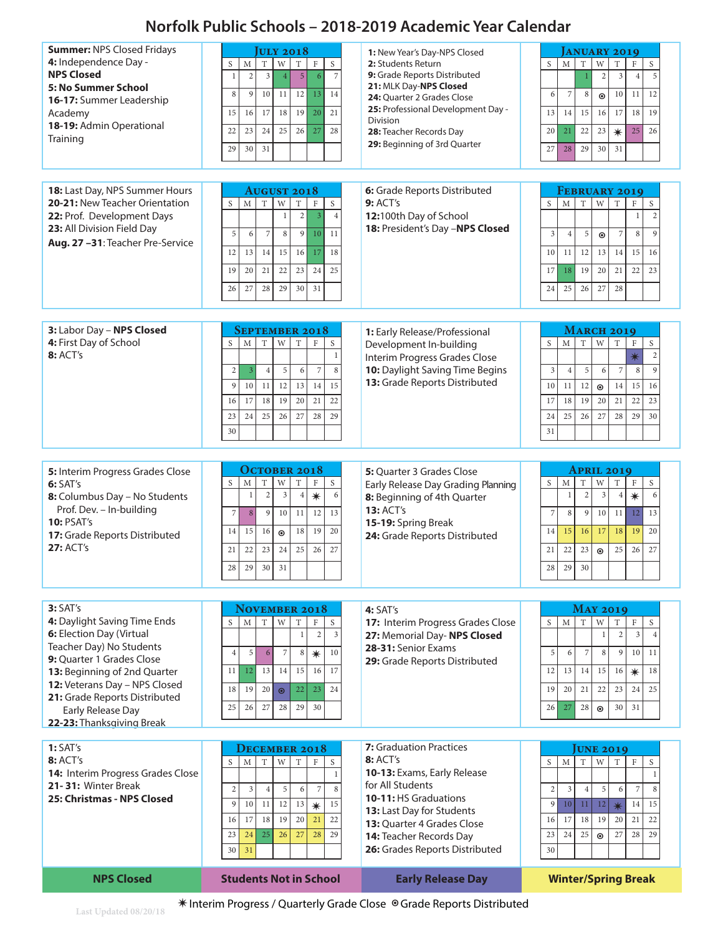## **Norfolk Public Schools – 2018-2019 Academic Year Calendar**

| 18: Last Day, NPS Summer Hours<br>6: Grade Reports Distributed<br><b>AUGUST 2018</b><br><b>FEBRUARY 2019</b><br>20-21: New Teacher Orientation<br>$\rm T$<br>$\ensuremath{\text{W}}$<br>9:ACT's<br>$\mathbf T$<br>$\mathbf{M}$<br>$\mathbf T$<br>W<br>T<br>S<br>M<br>$\rm F$<br>S<br>S<br>$\rm F$<br>S<br>$\overline{2}$<br>$\overline{2}$<br>$\overline{4}$<br>12:100th Day of School<br>22: Prof. Development Days<br>$\overline{3}$<br>$\mathbf{1}$<br>$\mathbf{1}$<br>18: President's Day -NPS Closed<br>23: All Division Field Day<br>5<br>$\overline{7}$<br>10<br>$\overline{7}$<br>8<br>9<br>11<br>5<br>$\mathbf{q}$<br>6<br>3<br>$\overline{4}$<br>$\,8\,$<br>$\odot$<br>Aug. 27 -31: Teacher Pre-Service<br>12<br>13<br>14<br>15<br>16<br>17<br>18<br>16<br>10<br>12<br>13<br>14<br>15<br>11<br>19<br>20<br>21<br>22<br>23<br>24<br>25<br>19<br>22<br>23<br>17<br>20<br>21<br>18<br>27<br>28<br>29<br>30<br>31<br>26<br>25<br>27<br>28<br>24<br>26<br>3: Labor Day - NPS Closed<br><b>SEPTEMBER 2018</b><br><b>MARCH 2019</b><br>1: Early Release/Professional<br>4: First Day of School<br>$\mathbf T$<br>$\mathbf T$<br>W<br>S<br>$\mathbf{M}$<br>W<br>T<br>$\rm F$<br>$\mathbf S$<br>S<br>M<br>$\mathbf T$<br>$\rm F$<br>S<br>Development In-building<br><b>8: ACT's</b><br>$\sqrt{2}$<br>$\ast$<br>$\mathbf{1}$<br>Interim Progress Grades Close<br>10: Daylight Saving Time Begins<br>5<br>$\overline{7}$<br>$\overline{7}$<br>9<br>$\overline{2}$<br>$\overline{3}$<br>$\overline{4}$<br>6<br>8<br>$\mathfrak{Z}$<br>5<br>6<br>8<br>$\overline{4}$<br>13: Grade Reports Distributed<br>11<br>12<br>13<br>14<br>15<br>9<br>10<br>12<br>15<br>16<br>10<br>11<br>14<br>$\odot$<br>17<br>18<br>19<br>20<br>21<br>22<br>19<br>22<br>23<br>16<br>17<br>18<br>20<br>21<br>25<br>23<br>24<br>26<br>27<br>28<br>29<br>25<br>29<br>24<br>26<br>27<br>28<br>30<br>30<br>31<br><b>OCTOBER 2018</b><br><b>APRIL 2019</b><br>5: Interim Progress Grades Close<br><b>5:</b> Quarter 3 Grades Close<br>$\rm F$<br>S<br>$\mathbf T$<br>W<br>$\mathbf T$<br>S<br>$\mathbf S$<br>T<br>W<br>T<br>$\rm F$<br>S<br>M<br>M<br>6:SAT's<br>Early Release Day Grading Planning<br>$\overline{2}$<br>$\overline{\mathbf{3}}$<br>$\overline{2}$<br>$\overline{\mathbf{3}}$<br>6<br>$\mathbf{1}$<br>$\ast$<br>6<br>$\mathbf{1}$<br>$\overline{4}$<br>$\overline{4}$<br>$\ast$<br>8: Columbus Day - No Students<br>8: Beginning of 4th Quarter<br>Prof. Dev. - In-building<br><b>13: ACT's</b><br>$\overline{7}$<br>8<br>9<br>10<br>11<br>12<br>13<br>$\overline{7}$<br>8<br>9<br>10<br>13<br>11 <sup>1</sup><br>12<br><b>10: PSAT's</b><br>15-19: Spring Break<br>15<br>16<br>18<br>19<br>20<br>18<br>19<br>20<br>14<br>15<br>16<br>17<br>$\odot$<br>14<br>17: Grade Reports Distributed<br>24: Grade Reports Distributed<br><b>27: ACT's</b><br>21<br>22<br>23<br>24<br>25<br>26<br>27<br>27<br>21<br>22<br>23<br>25<br>26<br>$\odot$<br>29<br>30<br>$\overline{31}$<br>$28\,$<br>$28\,$<br>29<br>30<br>3:SAT's<br>NOVEMBER 2018<br><b>MAY 2019</b><br>4: SAT's<br>4: Daylight Saving Time Ends<br>$\mathbf T$<br>W<br>$\mathbf T$<br>$\rm F$<br>M<br>$\mathbf T$<br>W<br>T<br>S<br>M<br>S<br>S<br>$\rm F$<br>17: Interim Progress Grades Close<br>S<br>6: Election Day (Virtual<br>$\overline{2}$<br>$\overline{2}$<br>$\overline{3}$<br>$\overline{3}$<br>$\overline{4}$<br>$\mathbf{1}$<br>27: Memorial Day- NPS Closed<br>$\mathbf{1}$<br>Teacher Day) No Students<br>28-31: Senior Exams<br>$\overline{7}$<br>$\ast$<br>5<br>6<br>8<br>5<br>$\overline{7}$<br>8<br>9 <sup>1</sup><br>10 <sup>1</sup><br>$\overline{4}$<br>10<br>6<br>11<br>9: Ouarter 1 Grades Close<br>29: Grade Reports Distributed<br>15<br>13<br>14<br>16<br>17<br>11<br>12<br>12<br>13<br>15<br>18<br>13: Beginning of 2nd Quarter<br>14<br>16<br>$\ast$<br>12: Veterans Day - NPS Closed<br>22<br>23<br>18<br>19<br>20<br>24<br>19<br>20<br>21<br>22<br>23<br>24<br>25<br>$\odot$<br>21: Grade Reports Distributed<br>25<br>27<br>26<br>28<br>29<br>30<br>26<br>27<br>28<br>30<br>31<br>$\odot$<br>Early Release Day<br>22-23: Thanksgiving Break<br><b>7:</b> Graduation Practices<br>1:SAT's<br><b>DECEMBER 2018</b><br><b>UNE 2019</b><br><b>8: ACT's</b><br>$8:$ ACT's<br>S<br>$\mathbf M$<br>$\mathbf T$<br>W<br>$\mathbf T$<br>S<br>$\mathbf M$<br>W<br>$\rm F$<br>S<br>S<br>$\rm F$<br>$\mathbf T$<br>T<br>10-13: Exams, Early Release<br>14: Interim Progress Grades Close<br>$\mathbf{1}$<br>$\mathbf{1}$<br>for All Students<br>21-31: Winter Break<br>$\overline{7}$<br>$\overline{2}$<br>5<br>8<br>$\sqrt{2}$<br>$\overline{7}$<br>8<br>$\mathfrak{Z}$<br>$\overline{4}$<br>6<br>$\mathfrak{Z}$<br>$\sqrt{5}$<br>6<br>$\overline{4}$<br>10-11: HS Graduations<br>25: Christmas - NPS Closed<br>10<br>11<br>12<br>15<br>9<br>13<br>9<br>10 <sup>1</sup><br>11 <sup>1</sup><br>12<br>15<br>$\ast$<br>14<br>$\ast$<br>13: Last Day for Students<br>17<br>18<br>19<br>20<br>21<br>22<br>19<br>22<br>16<br>16<br>17<br>18<br>20<br>21<br><b>13:</b> Ouarter 4 Grades Close<br>25<br>27<br>28<br>25<br>29<br>23<br>24<br>26<br>29<br>23<br>24<br>27<br>28<br>14: Teacher Records Day<br>$\odot$<br>26: Grades Reports Distributed<br>31<br>30<br>30<br><b>Students Not in School</b><br><b>NPS Closed</b><br><b>Early Release Day</b><br><b>Winter/Spring Break</b><br>* Interim Progress / Quarterly Grade Close © Grade Reports Distributed | <b>Summer: NPS Closed Fridays</b><br>4: Independence Day -<br><b>NPS Closed</b><br>5: No Summer School<br>16-17: Summer Leadership<br>Academy<br>18-19: Admin Operational<br>Training | <b>ULY 2018</b><br>$\overline{W}$<br>$\mathbf T$<br>S<br>M<br>T<br>$\rm F$<br>S<br>$\overline{3}$<br>$\overline{5}$<br>$\overline{7}$<br>$\overline{2}$<br>$\mathbf{I}$<br>6<br>9<br>11<br>12<br>8<br>10<br>13<br>14<br>15<br>16<br>17<br>18<br>19<br>20<br>21<br>22<br>23<br>24<br>25<br>26<br>27<br>28<br>30<br>31<br>29 | 1: New Year's Day-NPS Closed<br>2: Students Return<br>9: Grade Reports Distributed<br>21: MLK Day-NPS Closed<br>24: Quarter 2 Grades Close<br>25: Professional Development Day -<br><b>Division</b><br>28: Teacher Records Day<br>29: Beginning of 3rd Quarter | <b>ANUARY 2019</b><br>S<br>T<br>W<br>M<br>T<br>F<br>S<br>5<br>$\overline{3}$<br>$\overline{2}$<br>$\overline{4}$<br>$\overline{7}$<br>6<br>8<br>10<br>11<br>12<br>$\odot$<br>15<br>17<br>18<br>19<br>13<br>14<br>16<br>26<br>20<br>21<br>22<br>23<br>25<br>$\ast$<br>28<br>29<br>30<br>31<br>27 |
|-------------------------------------------------------------------------------------------------------------------------------------------------------------------------------------------------------------------------------------------------------------------------------------------------------------------------------------------------------------------------------------------------------------------------------------------------------------------------------------------------------------------------------------------------------------------------------------------------------------------------------------------------------------------------------------------------------------------------------------------------------------------------------------------------------------------------------------------------------------------------------------------------------------------------------------------------------------------------------------------------------------------------------------------------------------------------------------------------------------------------------------------------------------------------------------------------------------------------------------------------------------------------------------------------------------------------------------------------------------------------------------------------------------------------------------------------------------------------------------------------------------------------------------------------------------------------------------------------------------------------------------------------------------------------------------------------------------------------------------------------------------------------------------------------------------------------------------------------------------------------------------------------------------------------------------------------------------------------------------------------------------------------------------------------------------------------------------------------------------------------------------------------------------------------------------------------------------------------------------------------------------------------------------------------------------------------------------------------------------------------------------------------------------------------------------------------------------------------------------------------------------------------------------------------------------------------------------------------------------------------------------------------------------------------------------------------------------------------------------------------------------------------------------------------------------------------------------------------------------------------------------------------------------------------------------------------------------------------------------------------------------------------------------------------------------------------------------------------------------------------------------------------------------------------------------------------------------------------------------------------------------------------------------------------------------------------------------------------------------------------------------------------------------------------------------------------------------------------------------------------------------------------------------------------------------------------------------------------------------------------------------------------------------------------------------------------------------------------------------------------------------------------------------------------------------------------------------------------------------------------------------------------------------------------------------------------------------------------------------------------------------------------------------------------------------------------------------------------------------------------------------------------------------------------------------------------------------------------------------------------------------------------------------------------------------------------------------------------------------------------------------------------------------------------------------------------------------------------------------------------------------------------------------------------------------------------------------------------------------------------------------------------------------------------------------------------------------------------------------------------------------------------------------------------------------------------------------------------------------------------------------------------------------------------------------------------------------------------------------------------------------------------------------------------------------------------------------------------------------------------------------------------------------------------------------------------------------------------------------------------------------------------------------------------------------------------------------------------------------------------------------------------------------------|---------------------------------------------------------------------------------------------------------------------------------------------------------------------------------------|----------------------------------------------------------------------------------------------------------------------------------------------------------------------------------------------------------------------------------------------------------------------------------------------------------------------------|----------------------------------------------------------------------------------------------------------------------------------------------------------------------------------------------------------------------------------------------------------------|-------------------------------------------------------------------------------------------------------------------------------------------------------------------------------------------------------------------------------------------------------------------------------------------------|
|                                                                                                                                                                                                                                                                                                                                                                                                                                                                                                                                                                                                                                                                                                                                                                                                                                                                                                                                                                                                                                                                                                                                                                                                                                                                                                                                                                                                                                                                                                                                                                                                                                                                                                                                                                                                                                                                                                                                                                                                                                                                                                                                                                                                                                                                                                                                                                                                                                                                                                                                                                                                                                                                                                                                                                                                                                                                                                                                                                                                                                                                                                                                                                                                                                                                                                                                                                                                                                                                                                                                                                                                                                                                                                                                                                                                                                                                                                                                                                                                                                                                                                                                                                                                                                                                                                                                                                                                                                                                                                                                                                                                                                                                                                                                                                                                                                                                                                                                                                                                                                                                                                                                                                                                                                                                                                                                                                                                                   |                                                                                                                                                                                       |                                                                                                                                                                                                                                                                                                                            |                                                                                                                                                                                                                                                                |                                                                                                                                                                                                                                                                                                 |
|                                                                                                                                                                                                                                                                                                                                                                                                                                                                                                                                                                                                                                                                                                                                                                                                                                                                                                                                                                                                                                                                                                                                                                                                                                                                                                                                                                                                                                                                                                                                                                                                                                                                                                                                                                                                                                                                                                                                                                                                                                                                                                                                                                                                                                                                                                                                                                                                                                                                                                                                                                                                                                                                                                                                                                                                                                                                                                                                                                                                                                                                                                                                                                                                                                                                                                                                                                                                                                                                                                                                                                                                                                                                                                                                                                                                                                                                                                                                                                                                                                                                                                                                                                                                                                                                                                                                                                                                                                                                                                                                                                                                                                                                                                                                                                                                                                                                                                                                                                                                                                                                                                                                                                                                                                                                                                                                                                                                                   |                                                                                                                                                                                       |                                                                                                                                                                                                                                                                                                                            |                                                                                                                                                                                                                                                                |                                                                                                                                                                                                                                                                                                 |
|                                                                                                                                                                                                                                                                                                                                                                                                                                                                                                                                                                                                                                                                                                                                                                                                                                                                                                                                                                                                                                                                                                                                                                                                                                                                                                                                                                                                                                                                                                                                                                                                                                                                                                                                                                                                                                                                                                                                                                                                                                                                                                                                                                                                                                                                                                                                                                                                                                                                                                                                                                                                                                                                                                                                                                                                                                                                                                                                                                                                                                                                                                                                                                                                                                                                                                                                                                                                                                                                                                                                                                                                                                                                                                                                                                                                                                                                                                                                                                                                                                                                                                                                                                                                                                                                                                                                                                                                                                                                                                                                                                                                                                                                                                                                                                                                                                                                                                                                                                                                                                                                                                                                                                                                                                                                                                                                                                                                                   |                                                                                                                                                                                       |                                                                                                                                                                                                                                                                                                                            |                                                                                                                                                                                                                                                                |                                                                                                                                                                                                                                                                                                 |
|                                                                                                                                                                                                                                                                                                                                                                                                                                                                                                                                                                                                                                                                                                                                                                                                                                                                                                                                                                                                                                                                                                                                                                                                                                                                                                                                                                                                                                                                                                                                                                                                                                                                                                                                                                                                                                                                                                                                                                                                                                                                                                                                                                                                                                                                                                                                                                                                                                                                                                                                                                                                                                                                                                                                                                                                                                                                                                                                                                                                                                                                                                                                                                                                                                                                                                                                                                                                                                                                                                                                                                                                                                                                                                                                                                                                                                                                                                                                                                                                                                                                                                                                                                                                                                                                                                                                                                                                                                                                                                                                                                                                                                                                                                                                                                                                                                                                                                                                                                                                                                                                                                                                                                                                                                                                                                                                                                                                                   |                                                                                                                                                                                       |                                                                                                                                                                                                                                                                                                                            |                                                                                                                                                                                                                                                                |                                                                                                                                                                                                                                                                                                 |
|                                                                                                                                                                                                                                                                                                                                                                                                                                                                                                                                                                                                                                                                                                                                                                                                                                                                                                                                                                                                                                                                                                                                                                                                                                                                                                                                                                                                                                                                                                                                                                                                                                                                                                                                                                                                                                                                                                                                                                                                                                                                                                                                                                                                                                                                                                                                                                                                                                                                                                                                                                                                                                                                                                                                                                                                                                                                                                                                                                                                                                                                                                                                                                                                                                                                                                                                                                                                                                                                                                                                                                                                                                                                                                                                                                                                                                                                                                                                                                                                                                                                                                                                                                                                                                                                                                                                                                                                                                                                                                                                                                                                                                                                                                                                                                                                                                                                                                                                                                                                                                                                                                                                                                                                                                                                                                                                                                                                                   |                                                                                                                                                                                       |                                                                                                                                                                                                                                                                                                                            |                                                                                                                                                                                                                                                                |                                                                                                                                                                                                                                                                                                 |
|                                                                                                                                                                                                                                                                                                                                                                                                                                                                                                                                                                                                                                                                                                                                                                                                                                                                                                                                                                                                                                                                                                                                                                                                                                                                                                                                                                                                                                                                                                                                                                                                                                                                                                                                                                                                                                                                                                                                                                                                                                                                                                                                                                                                                                                                                                                                                                                                                                                                                                                                                                                                                                                                                                                                                                                                                                                                                                                                                                                                                                                                                                                                                                                                                                                                                                                                                                                                                                                                                                                                                                                                                                                                                                                                                                                                                                                                                                                                                                                                                                                                                                                                                                                                                                                                                                                                                                                                                                                                                                                                                                                                                                                                                                                                                                                                                                                                                                                                                                                                                                                                                                                                                                                                                                                                                                                                                                                                                   |                                                                                                                                                                                       |                                                                                                                                                                                                                                                                                                                            |                                                                                                                                                                                                                                                                |                                                                                                                                                                                                                                                                                                 |